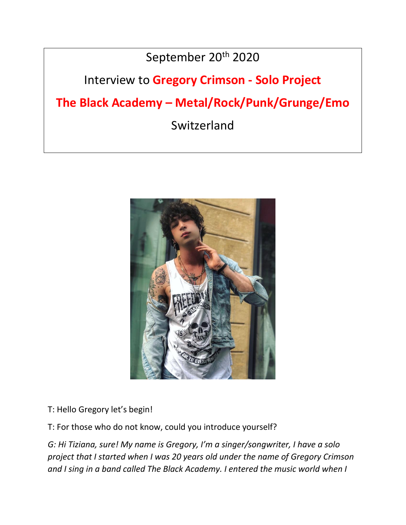## September 20<sup>th</sup> 2020

## Interview to **Gregory Crimson - Solo Project**

# **The Black Academy – Metal/Rock/Punk/Grunge/Emo**

Switzerland



#### T: Hello Gregory let's begin!

T: For those who do not know, could you introduce yourself?

*G: Hi Tiziana, sure! My name is Gregory, I'm a singer/songwriter, I have a solo project that I started when I was 20 years old under the name of Gregory Crimson and I sing in a band called The Black Academy. I entered the music world when I*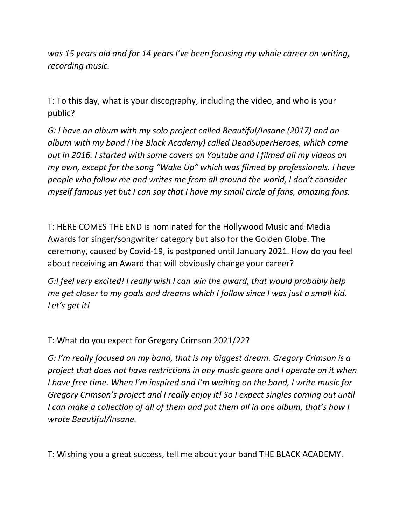*was 15 years old and for 14 years I've been focusing my whole career on writing, recording music.*

T: To this day, what is your discography, including the video, and who is your public?

*G: I have an album with my solo project called Beautiful/Insane (2017) and an album with my band (The Black Academy) called DeadSuperHeroes, which came out in 2016. I started with some covers on Youtube and I filmed all my videos on my own, except for the song "Wake Up" which was filmed by professionals. I have people who follow me and writes me from all around the world, I don't consider myself famous yet but I can say that I have my small circle of fans, amazing fans.*

T: HERE COMES THE END is nominated for the Hollywood Music and Media Awards for singer/songwriter category but also for the Golden Globe. The ceremony, caused by Covid-19, is postponed until January 2021. How do you feel about receiving an Award that will obviously change your career?

*G:I feel very excited! I really wish I can win the award, that would probably help me get closer to my goals and dreams which I follow since I was just a small kid. Let's get it!*

T: What do you expect for Gregory Crimson 2021/22?

*G: I'm really focused on my band, that is my biggest dream. Gregory Crimson is a project that does not have restrictions in any music genre and I operate on it when I have free time. When I'm inspired and I'm waiting on the band, I write music for Gregory Crimson's project and I really enjoy it! So I expect singles coming out until I can make a collection of all of them and put them all in one album, that's how I wrote Beautiful/Insane.*

T: Wishing you a great success, tell me about your band THE BLACK ACADEMY.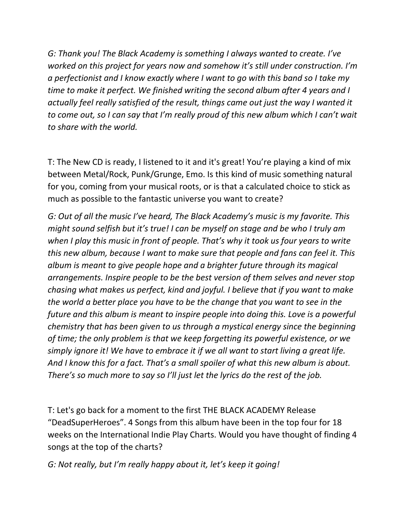*G: Thank you! The Black Academy is something I always wanted to create. I've worked on this project for years now and somehow it's still under construction. I'm a perfectionist and I know exactly where I want to go with this band so I take my time to make it perfect. We finished writing the second album after 4 years and I actually feel really satisfied of the result, things came out just the way I wanted it to come out, so I can say that I'm really proud of this new album which I can't wait to share with the world.*

T: The New CD is ready, I listened to it and it's great! You're playing a kind of mix between Metal/Rock, Punk/Grunge, Emo. Is this kind of music something natural for you, coming from your musical roots, or is that a calculated choice to stick as much as possible to the fantastic universe you want to create?

*G: Out of all the music I've heard, The Black Academy's music is my favorite. This might sound selfish but it's true! I can be myself on stage and be who I truly am when I play this music in front of people. That's why it took us four years to write this new album, because I want to make sure that people and fans can feel it. This album is meant to give people hope and a brighter future through its magical arrangements. Inspire people to be the best version of them selves and never stop chasing what makes us perfect, kind and joyful. I believe that if you want to make the world a better place you have to be the change that you want to see in the future and this album is meant to inspire people into doing this. Love is a powerful chemistry that has been given to us through a mystical energy since the beginning of time; the only problem is that we keep forgetting its powerful existence, or we simply ignore it! We have to embrace it if we all want to start living a great life. And I know this for a fact. That's a small spoiler of what this new album is about. There's so much more to say so I'll just let the lyrics do the rest of the job.*

T: Let's go back for a moment to the first THE BLACK ACADEMY Release "DeadSuperHeroes". 4 Songs from this album have been in the top four for 18 weeks on the International Indie Play Charts. Would you have thought of finding 4 songs at the top of the charts?

### *G: Not really, but I'm really happy about it, let's keep it going!*